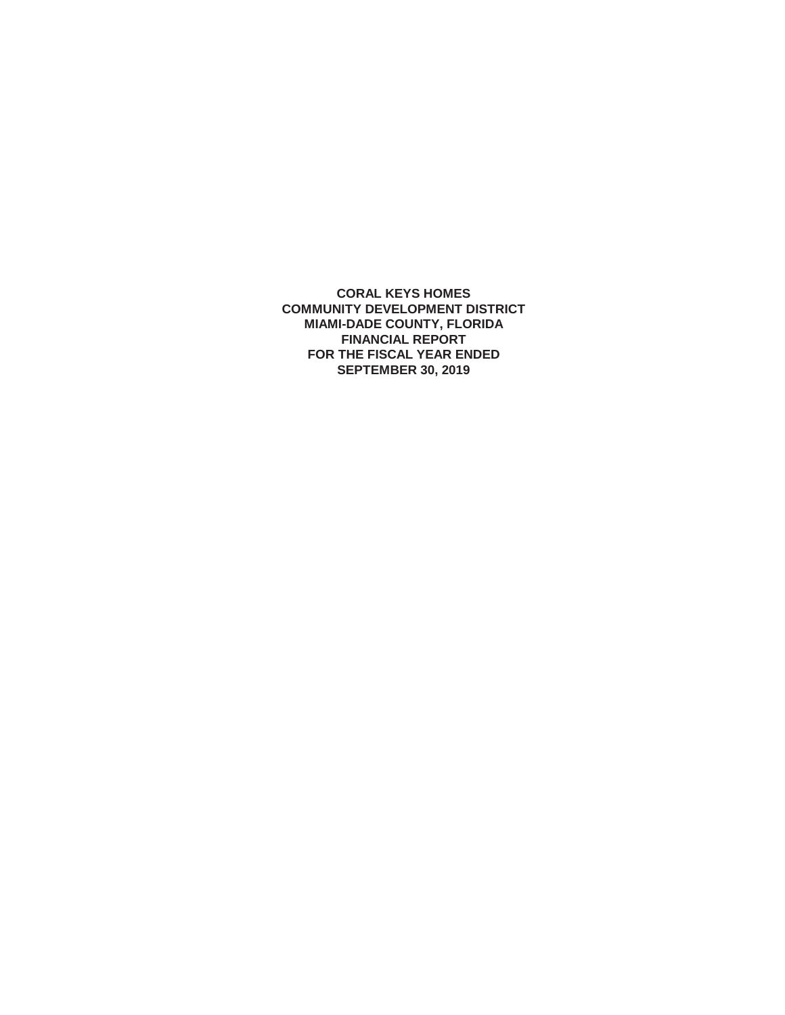**CORAL KEYS HOMES COMMUNITY DEVELOPMENT DISTRICT MIAMI-DADE COUNTY, FLORIDA FINANCIAL REPORT FOR THE FISCAL YEAR ENDED SEPTEMBER 30, 2019**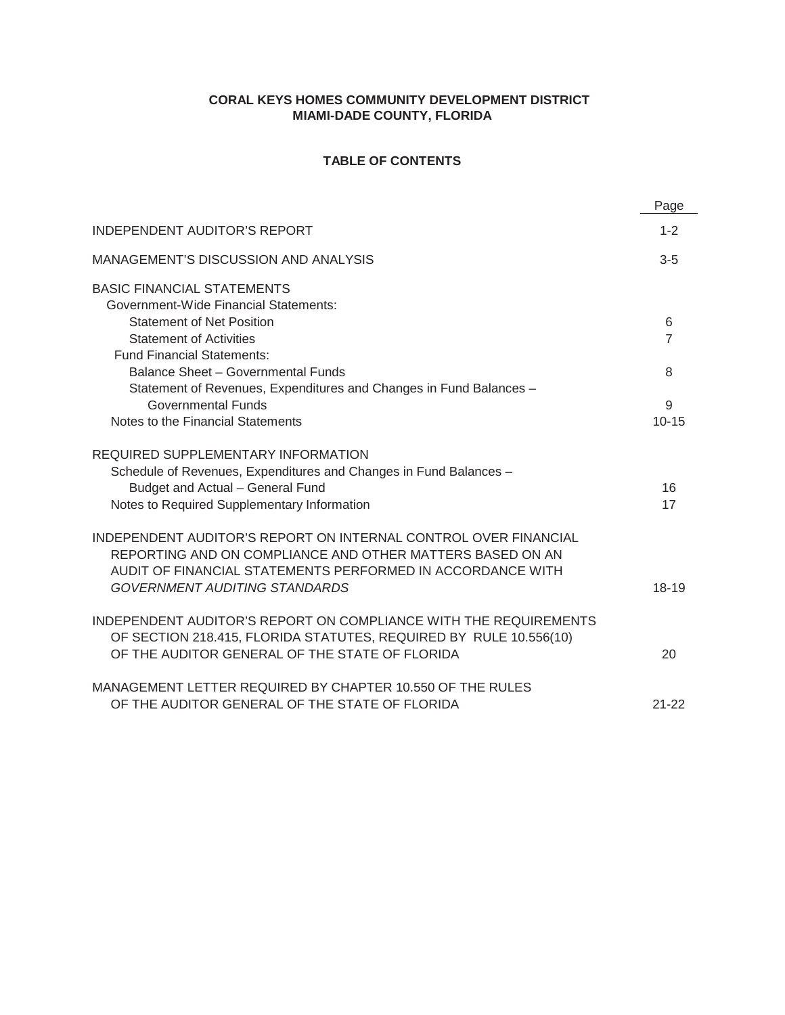# **CORAL KEYS HOMES COMMUNITY DEVELOPMENT DISTRICT MIAMI-DADE COUNTY, FLORIDA**

# **TABLE OF CONTENTS**

|                                                                                                                                                                                            | Page      |
|--------------------------------------------------------------------------------------------------------------------------------------------------------------------------------------------|-----------|
| INDEPENDENT AUDITOR'S REPORT                                                                                                                                                               | $1 - 2$   |
| <b>MANAGEMENT'S DISCUSSION AND ANALYSIS</b>                                                                                                                                                | $3-5$     |
| <b>BASIC FINANCIAL STATEMENTS</b>                                                                                                                                                          |           |
| Government-Wide Financial Statements:                                                                                                                                                      |           |
| <b>Statement of Net Position</b>                                                                                                                                                           | 6         |
| <b>Statement of Activities</b>                                                                                                                                                             | 7         |
| <b>Fund Financial Statements:</b>                                                                                                                                                          |           |
| Balance Sheet - Governmental Funds                                                                                                                                                         | 8         |
| Statement of Revenues, Expenditures and Changes in Fund Balances -                                                                                                                         |           |
| Governmental Funds                                                                                                                                                                         | 9         |
| Notes to the Financial Statements                                                                                                                                                          | $10 - 15$ |
| REQUIRED SUPPLEMENTARY INFORMATION                                                                                                                                                         |           |
| Schedule of Revenues, Expenditures and Changes in Fund Balances -                                                                                                                          |           |
| Budget and Actual - General Fund                                                                                                                                                           | 16        |
|                                                                                                                                                                                            |           |
| Notes to Required Supplementary Information                                                                                                                                                | 17        |
| INDEPENDENT AUDITOR'S REPORT ON INTERNAL CONTROL OVER FINANCIAL<br>REPORTING AND ON COMPLIANCE AND OTHER MATTERS BASED ON AN<br>AUDIT OF FINANCIAL STATEMENTS PERFORMED IN ACCORDANCE WITH |           |
| <b>GOVERNMENT AUDITING STANDARDS</b>                                                                                                                                                       | 18-19     |
|                                                                                                                                                                                            |           |
| INDEPENDENT AUDITOR'S REPORT ON COMPLIANCE WITH THE REQUIREMENTS                                                                                                                           |           |
| OF SECTION 218.415, FLORIDA STATUTES, REQUIRED BY RULE 10.556(10)                                                                                                                          |           |
| OF THE AUDITOR GENERAL OF THE STATE OF FLORIDA                                                                                                                                             | 20        |
|                                                                                                                                                                                            |           |
| MANAGEMENT LETTER REQUIRED BY CHAPTER 10.550 OF THE RULES                                                                                                                                  |           |
| OF THE AUDITOR GENERAL OF THE STATE OF FLORIDA                                                                                                                                             | $21 - 22$ |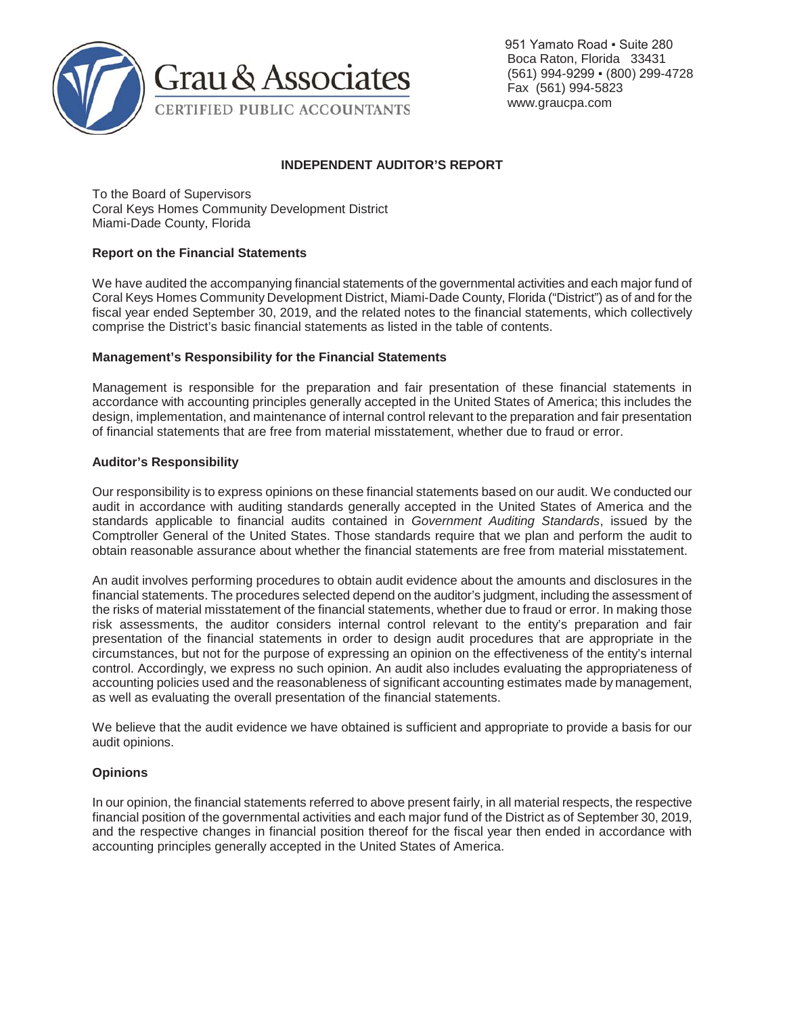

951 Yamato Road . Suite 280 Boca Raton, Florida 33431 (561) 994-9299 - (800) 299-4728 Fax (561) 994-5823 www.graucpa.com

# **INDEPENDENT AUDITOR'S REPORT**

To the Board of Supervisors Coral Keys Homes Community Development District Miami-Dade County, Florida

### **Report on the Financial Statements**

We have audited the accompanying financial statements of the governmental activities and each major fund of Coral Keys Homes Community Development District, Miami-Dade County, Florida ("District") as of and for the fiscal year ended September 30, 2019, and the related notes to the financial statements, which collectively comprise the District's basic financial statements as listed in the table of contents.

# **Management's Responsibility for the Financial Statements**

Management is responsible for the preparation and fair presentation of these financial statements in accordance with accounting principles generally accepted in the United States of America; this includes the design, implementation, and maintenance of internal control relevant to the preparation and fair presentation of financial statements that are free from material misstatement, whether due to fraud or error.

# **Auditor's Responsibility**

Our responsibility is to express opinions on these financial statements based on our audit. We conducted our audit in accordance with auditing standards generally accepted in the United States of America and the standards applicable to financial audits contained in *Government Auditing Standards*, issued by the Comptroller General of the United States. Those standards require that we plan and perform the audit to obtain reasonable assurance about whether the financial statements are free from material misstatement.

An audit involves performing procedures to obtain audit evidence about the amounts and disclosures in the financial statements. The procedures selected depend on the auditor's judgment, including the assessment of the risks of material misstatement of the financial statements, whether due to fraud or error. In making those risk assessments, the auditor considers internal control relevant to the entity's preparation and fair presentation of the financial statements in order to design audit procedures that are appropriate in the circumstances, but not for the purpose of expressing an opinion on the effectiveness of the entity's internal control. Accordingly, we express no such opinion. An audit also includes evaluating the appropriateness of accounting policies used and the reasonableness of significant accounting estimates made by management, as well as evaluating the overall presentation of the financial statements.

We believe that the audit evidence we have obtained is sufficient and appropriate to provide a basis for our audit opinions.

### **Opinions**

In our opinion, the financial statements referred to above present fairly, in all material respects, the respective financial position of the governmental activities and each major fund of the District as of September 30, 2019, and the respective changes in financial position thereof for the fiscal year then ended in accordance with accounting principles generally accepted in the United States of America.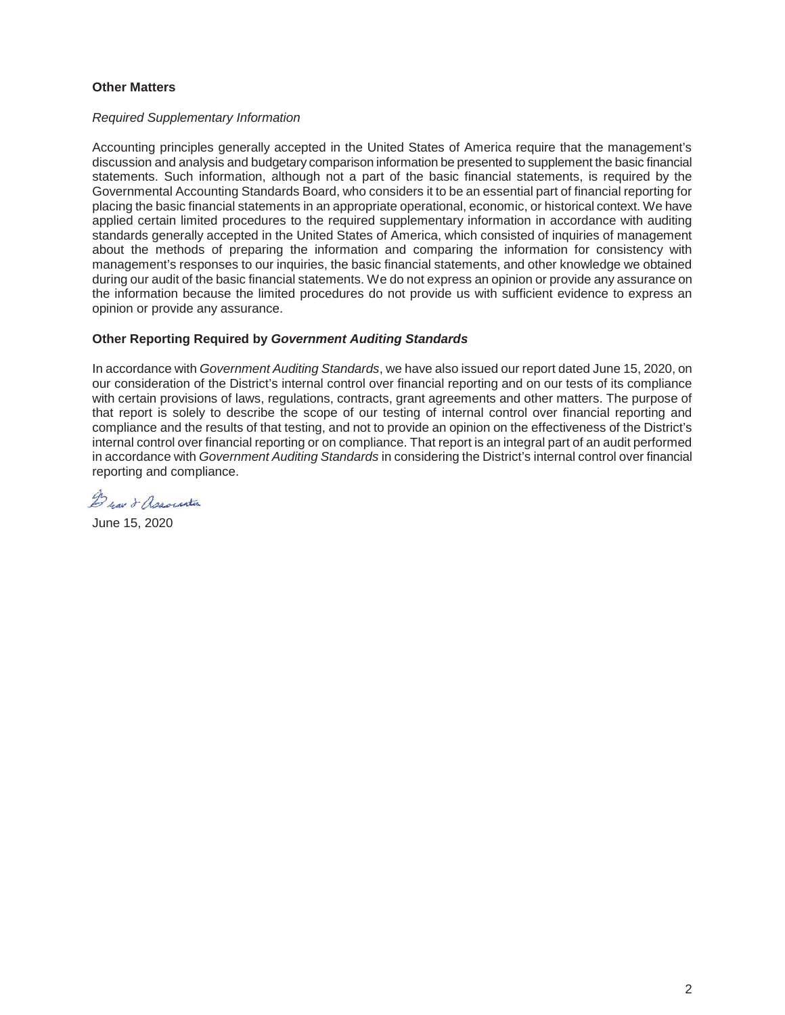# **Other Matters**

### *Required Supplementary Information*

Accounting principles generally accepted in the United States of America require that the management's discussion and analysis and budgetary comparison information be presented to supplement the basic financial statements. Such information, although not a part of the basic financial statements, is required by the Governmental Accounting Standards Board, who considers it to be an essential part of financial reporting for placing the basic financial statements in an appropriate operational, economic, or historical context. We have applied certain limited procedures to the required supplementary information in accordance with auditing standards generally accepted in the United States of America, which consisted of inquiries of management about the methods of preparing the information and comparing the information for consistency with management's responses to our inquiries, the basic financial statements, and other knowledge we obtained during our audit of the basic financial statements. We do not express an opinion or provide any assurance on the information because the limited procedures do not provide us with sufficient evidence to express an opinion or provide any assurance.

# **Other Reporting Required by** *Government Auditing Standards*

In accordance with *Government Auditing Standards*, we have also issued our report dated June 15, 2020, on our consideration of the District's internal control over financial reporting and on our tests of its compliance with certain provisions of laws, regulations, contracts, grant agreements and other matters. The purpose of that report is solely to describe the scope of our testing of internal control over financial reporting and compliance and the results of that testing, and not to provide an opinion on the effectiveness of the District's internal control over financial reporting or on compliance. That report is an integral part of an audit performed in accordance with *Government Auditing Standards* in considering the District's internal control over financial reporting and compliance.

Dear & Association

June 15, 2020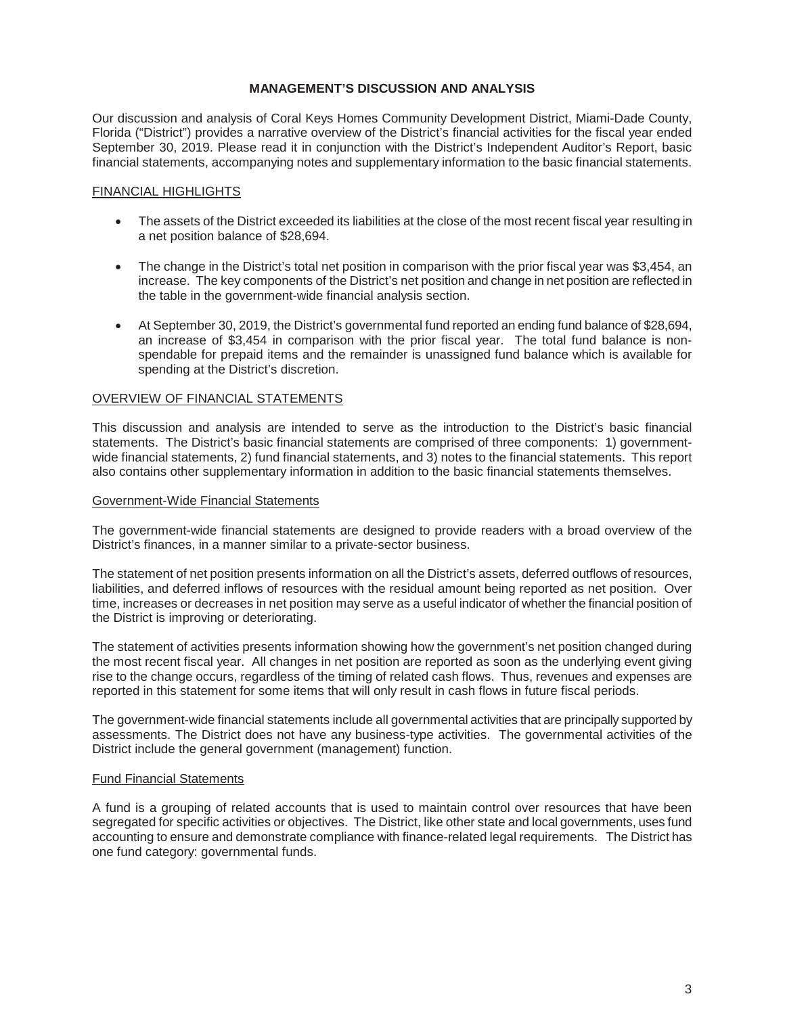# **MANAGEMENT'S DISCUSSION AND ANALYSIS**

Our discussion and analysis of Coral Keys Homes Community Development District, Miami-Dade County, Florida ("District") provides a narrative overview of the District's financial activities for the fiscal year ended September 30, 2019. Please read it in conjunction with the District's Independent Auditor's Report, basic financial statements, accompanying notes and supplementary information to the basic financial statements.

# FINANCIAL HIGHLIGHTS

- The assets of the District exceeded its liabilities at the close of the most recent fiscal year resulting in a net position balance of \$28,694.
- The change in the District's total net position in comparison with the prior fiscal year was \$3,454, an increase. The key components of the District's net position and change in net position are reflected in the table in the government-wide financial analysis section.
- At September 30, 2019, the District's governmental fund reported an ending fund balance of \$28,694, an increase of \$3,454 in comparison with the prior fiscal year. The total fund balance is nonspendable for prepaid items and the remainder is unassigned fund balance which is available for spending at the District's discretion.

# OVERVIEW OF FINANCIAL STATEMENTS

This discussion and analysis are intended to serve as the introduction to the District's basic financial statements. The District's basic financial statements are comprised of three components: 1) governmentwide financial statements, 2) fund financial statements, and 3) notes to the financial statements. This report also contains other supplementary information in addition to the basic financial statements themselves.

### Government-Wide Financial Statements

The government-wide financial statements are designed to provide readers with a broad overview of the District's finances, in a manner similar to a private-sector business.

The statement of net position presents information on all the District's assets, deferred outflows of resources, liabilities, and deferred inflows of resources with the residual amount being reported as net position. Over time, increases or decreases in net position may serve as a useful indicator of whether the financial position of the District is improving or deteriorating.

The statement of activities presents information showing how the government's net position changed during the most recent fiscal year. All changes in net position are reported as soon as the underlying event giving rise to the change occurs, regardless of the timing of related cash flows. Thus, revenues and expenses are reported in this statement for some items that will only result in cash flows in future fiscal periods.

The government-wide financial statements include all governmental activities that are principally supported by assessments. The District does not have any business-type activities. The governmental activities of the District include the general government (management) function.

### Fund Financial Statements

A fund is a grouping of related accounts that is used to maintain control over resources that have been segregated for specific activities or objectives. The District, like other state and local governments, uses fund accounting to ensure and demonstrate compliance with finance-related legal requirements. The District has one fund category: governmental funds.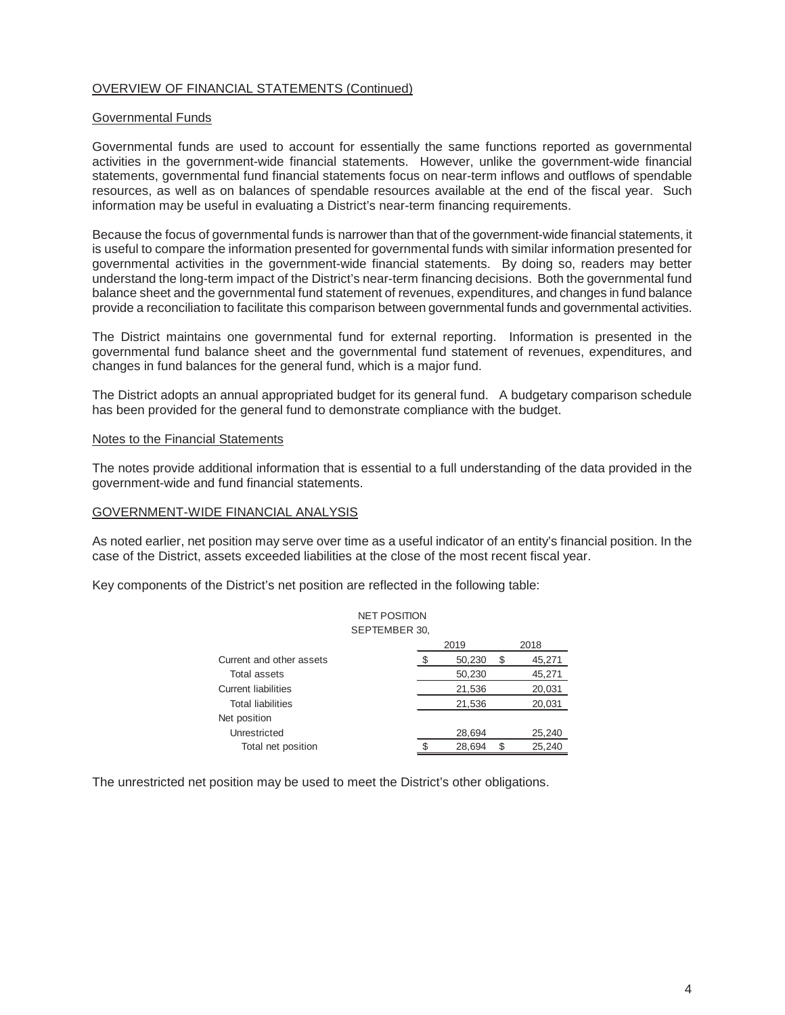## OVERVIEW OF FINANCIAL STATEMENTS (Continued)

### Governmental Funds

Governmental funds are used to account for essentially the same functions reported as governmental activities in the government-wide financial statements. However, unlike the government-wide financial statements, governmental fund financial statements focus on near-term inflows and outflows of spendable resources, as well as on balances of spendable resources available at the end of the fiscal year. Such information may be useful in evaluating a District's near-term financing requirements.

Because the focus of governmental funds is narrower than that of the government-wide financial statements, it is useful to compare the information presented for governmental funds with similar information presented for governmental activities in the government-wide financial statements. By doing so, readers may better understand the long-term impact of the District's near-term financing decisions. Both the governmental fund balance sheet and the governmental fund statement of revenues, expenditures, and changes in fund balance provide a reconciliation to facilitate this comparison between governmental funds and governmental activities.

The District maintains one governmental fund for external reporting. Information is presented in the governmental fund balance sheet and the governmental fund statement of revenues, expenditures, and changes in fund balances for the general fund, which is a major fund.

The District adopts an annual appropriated budget for its general fund. A budgetary comparison schedule has been provided for the general fund to demonstrate compliance with the budget.

#### Notes to the Financial Statements

The notes provide additional information that is essential to a full understanding of the data provided in the government-wide and fund financial statements.

#### GOVERNMENT-WIDE FINANCIAL ANALYSIS

As noted earlier, net position may serve over time as a useful indicator of an entity's financial position. In the case of the District, assets exceeded liabilities at the close of the most recent fiscal year.

Key components of the District's net position are reflected in the following table:

|                            | <b>NET POSITION</b> |              |        |    |        |  |
|----------------------------|---------------------|--------------|--------|----|--------|--|
|                            | SEPTEMBER 30,       |              |        |    |        |  |
|                            |                     | 2019<br>2018 |        |    |        |  |
| Current and other assets   |                     |              | 50,230 | \$ | 45,271 |  |
| Total assets               |                     |              | 50,230 |    | 45,271 |  |
| <b>Current liabilities</b> |                     |              | 21,536 |    | 20,031 |  |
| <b>Total liabilities</b>   |                     |              | 21,536 |    | 20,031 |  |
| Net position               |                     |              |        |    |        |  |
| Unrestricted               |                     |              | 28,694 |    | 25,240 |  |
| Total net position         |                     |              | 28.694 | \$ | 25.240 |  |

The unrestricted net position may be used to meet the District's other obligations.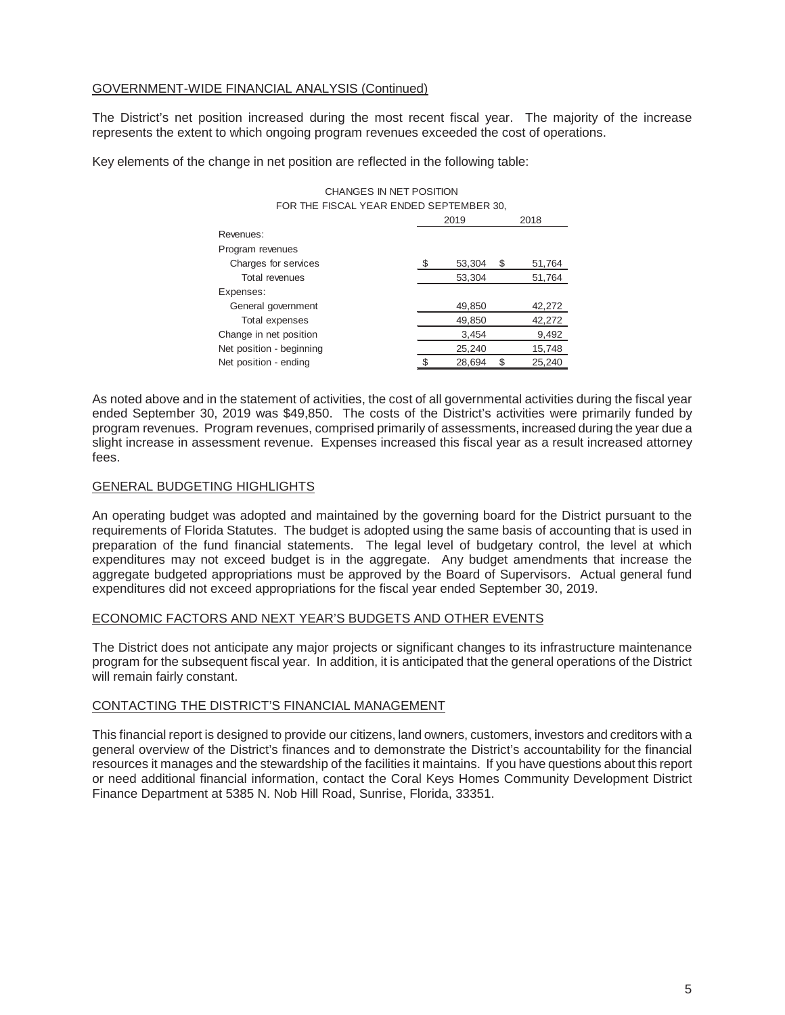## GOVERNMENT-WIDE FINANCIAL ANALYSIS (Continued)

The District's net position increased during the most recent fiscal year. The majority of the increase represents the extent to which ongoing program revenues exceeded the cost of operations.

Key elements of the change in net position are reflected in the following table:

### FOR THE FISCAL YEAR ENDED SEPTEMBER 30, CHANGES IN NET POSITION

|                          |    | 2019   | 2018 |        |  |  |
|--------------------------|----|--------|------|--------|--|--|
| Revenues:                |    |        |      |        |  |  |
| Program revenues         |    |        |      |        |  |  |
| Charges for services     | \$ | 53,304 | S    | 51,764 |  |  |
| Total revenues           |    | 53,304 |      | 51,764 |  |  |
| Expenses:                |    |        |      |        |  |  |
| General government       |    | 49,850 |      | 42,272 |  |  |
| <b>Total expenses</b>    |    | 49,850 |      | 42,272 |  |  |
| Change in net position   |    | 3,454  |      | 9,492  |  |  |
| Net position - beginning |    | 25,240 |      | 15,748 |  |  |
| Net position - ending    |    | 28,694 | \$   | 25,240 |  |  |

As noted above and in the statement of activities, the cost of all governmental activities during the fiscal year ended September 30, 2019 was \$49,850. The costs of the District's activities were primarily funded by program revenues. Program revenues, comprised primarily of assessments, increased during the year due a slight increase in assessment revenue. Expenses increased this fiscal year as a result increased attorney fees.

# GENERAL BUDGETING HIGHLIGHTS

An operating budget was adopted and maintained by the governing board for the District pursuant to the requirements of Florida Statutes. The budget is adopted using the same basis of accounting that is used in preparation of the fund financial statements. The legal level of budgetary control, the level at which expenditures may not exceed budget is in the aggregate. Any budget amendments that increase the aggregate budgeted appropriations must be approved by the Board of Supervisors. Actual general fund expenditures did not exceed appropriations for the fiscal year ended September 30, 2019.

### ECONOMIC FACTORS AND NEXT YEAR'S BUDGETS AND OTHER EVENTS

The District does not anticipate any major projects or significant changes to its infrastructure maintenance program for the subsequent fiscal year. In addition, it is anticipated that the general operations of the District will remain fairly constant.

### CONTACTING THE DISTRICT'S FINANCIAL MANAGEMENT

This financial report is designed to provide our citizens, land owners, customers, investors and creditors with a general overview of the District's finances and to demonstrate the District's accountability for the financial resources it manages and the stewardship of the facilities it maintains. If you have questions about this report or need additional financial information, contact the Coral Keys Homes Community Development District Finance Department at 5385 N. Nob Hill Road, Sunrise, Florida, 33351.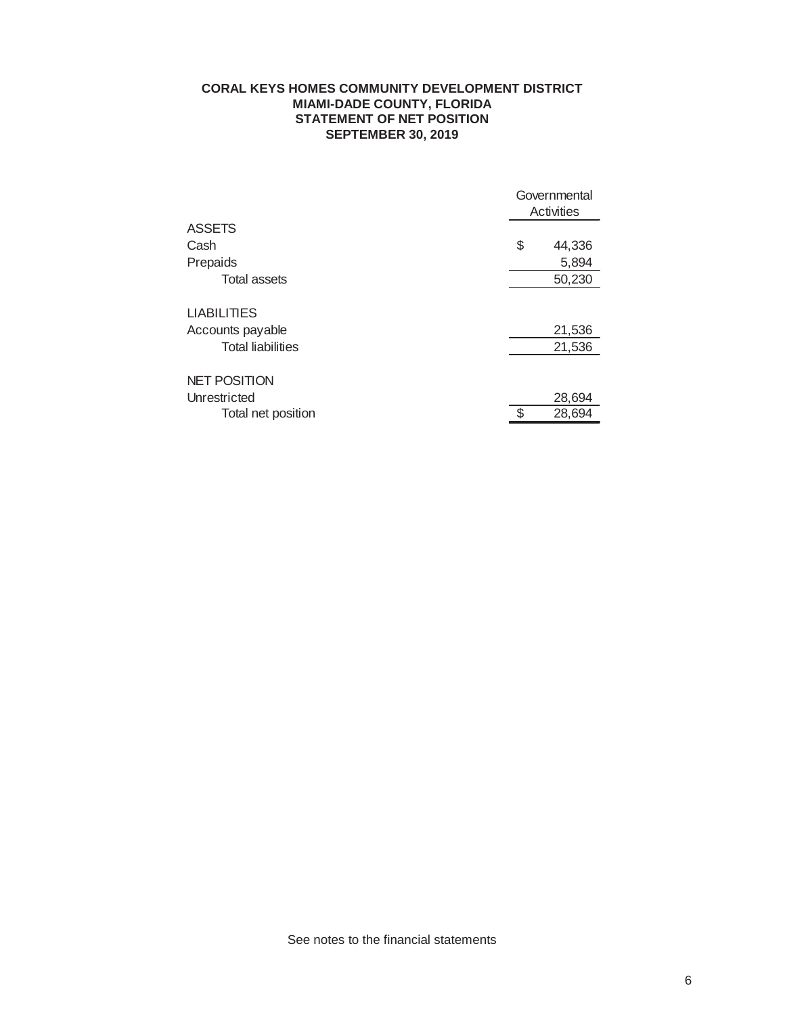# **CORAL KEYS HOMES COMMUNITY DEVELOPMENT DISTRICT MIAMI-DADE COUNTY, FLORIDA STATEMENT OF NET POSITION SEPTEMBER 30, 2019**

|                                              |     | Governmental<br>Activities |
|----------------------------------------------|-----|----------------------------|
| ASSETS                                       |     |                            |
| Cash                                         | \$  | 44,336                     |
| Prepaids                                     |     | 5,894                      |
| <b>Total assets</b>                          |     | 50,230                     |
| <b>LIABILITIES</b>                           |     |                            |
| Accounts payable<br><b>Total liabilities</b> |     | 21,536<br>21,536           |
| <b>NET POSITION</b><br>Unrestricted          |     |                            |
|                                              |     | 28,694                     |
| Total net position                           | \$. | 28,694                     |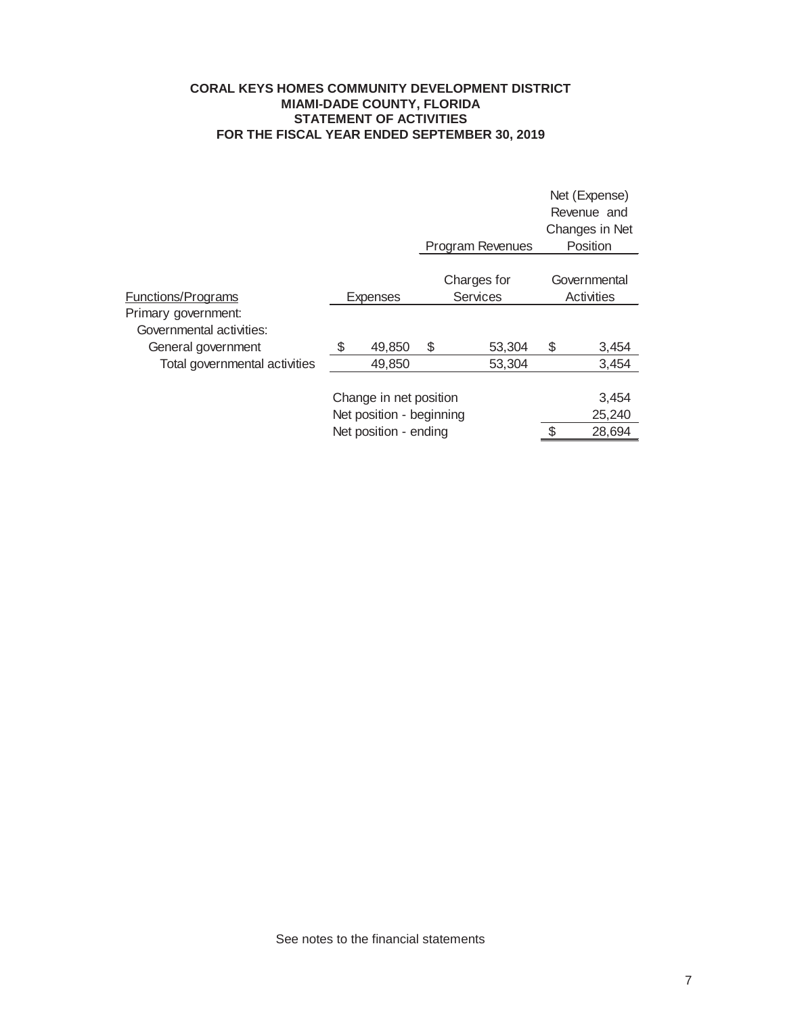# **CORAL KEYS HOMES COMMUNITY DEVELOPMENT DISTRICT MIAMI-DADE COUNTY, FLORIDA STATEMENT OF ACTIVITIES FOR THE FISCAL YEAR ENDED SEPTEMBER 30, 2019**

|                               |                          |        |                                |                         |                            | Net (Expense)<br>Revenue and<br>Changes in Net |
|-------------------------------|--------------------------|--------|--------------------------------|-------------------------|----------------------------|------------------------------------------------|
|                               |                          |        |                                | <b>Program Revenues</b> |                            | Position                                       |
| Functions/Programs            | <b>Expenses</b>          |        | Charges for<br><b>Services</b> |                         | Governmental<br>Activities |                                                |
| Primary government:           |                          |        |                                |                         |                            |                                                |
| Governmental activities:      |                          |        |                                |                         |                            |                                                |
| General government            | \$                       | 49,850 | \$                             | 53,304                  | \$                         | 3,454                                          |
| Total governmental activities |                          | 49,850 |                                | 53,304                  |                            | 3,454                                          |
|                               | Change in net position   |        |                                |                         |                            | 3,454                                          |
|                               | Net position - beginning |        |                                |                         |                            | 25,240                                         |
| Net position - ending         |                          |        |                                |                         | \$                         | 28,694                                         |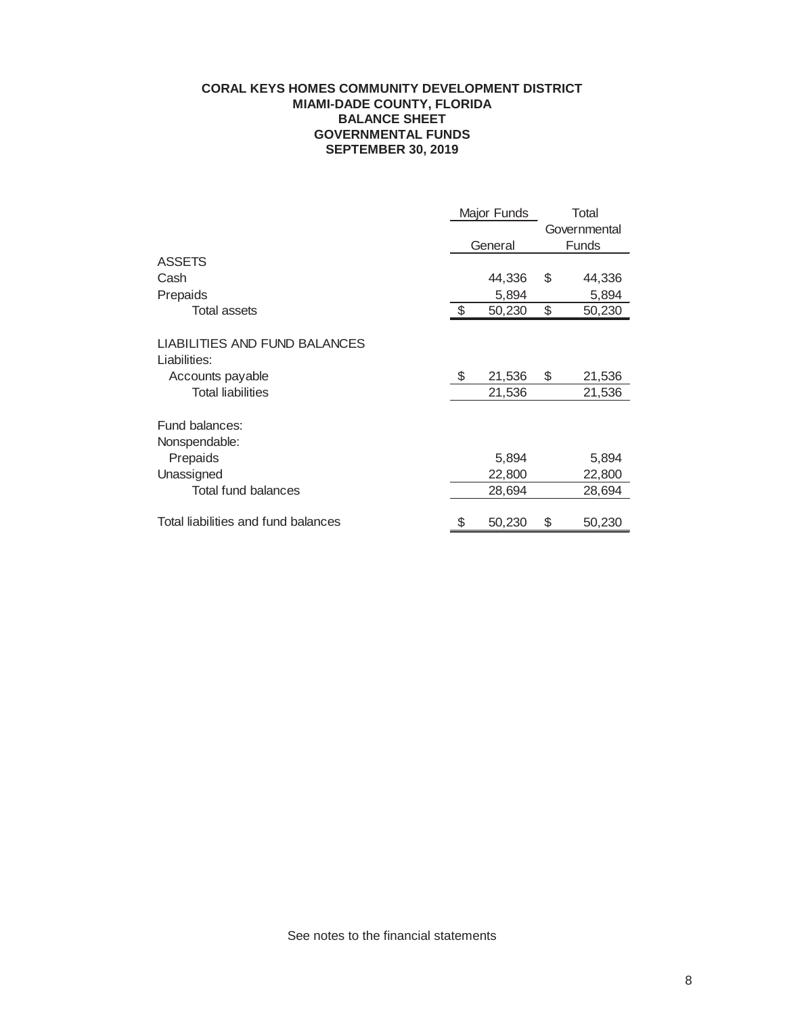### **CORAL KEYS HOMES COMMUNITY DEVELOPMENT DISTRICT MIAMI-DADE COUNTY, FLORIDA BALANCE SHEET GOVERNMENTAL FUNDS SEPTEMBER 30, 2019**

|                                               | Major Funds  | Total        |              |  |
|-----------------------------------------------|--------------|--------------|--------------|--|
|                                               |              | Governmental |              |  |
|                                               | General      |              | <b>Funds</b> |  |
| <b>ASSETS</b>                                 |              |              |              |  |
| Cash                                          | 44,336       | \$           | 44,336       |  |
| Prepaids                                      | 5,894        |              | 5,894        |  |
| <b>Total assets</b>                           | \$<br>50,230 | \$           | 50,230       |  |
| LIABILITIES AND FUND BALANCES<br>Liabilities: |              |              |              |  |
| Accounts payable                              | \$<br>21,536 | \$           | 21,536       |  |
| <b>Total liabilities</b>                      | 21,536       |              | 21,536       |  |
| Fund balances:<br>Nonspendable:               |              |              |              |  |
| Prepaids                                      | 5,894        |              | 5,894        |  |
| Unassigned                                    | 22,800       |              | 22,800       |  |
| Total fund balances                           | 28,694       |              | 28,694       |  |
| Total liabilities and fund balances           | \$<br>50,230 | \$           | 50,230       |  |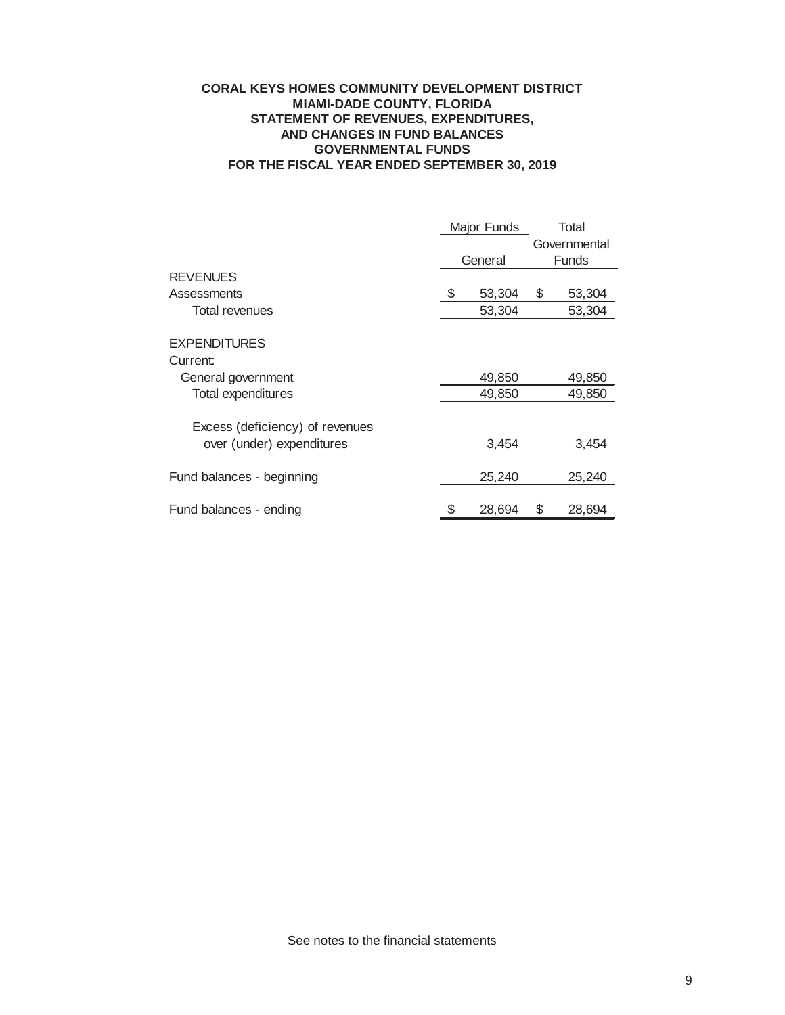### **CORAL KEYS HOMES COMMUNITY DEVELOPMENT DISTRICT MIAMI-DADE COUNTY, FLORIDA STATEMENT OF REVENUES, EXPENDITURES, AND CHANGES IN FUND BALANCES GOVERNMENTAL FUNDS FOR THE FISCAL YEAR ENDED SEPTEMBER 30, 2019**

|                                                              | Major Funds  | Total        |        |  |
|--------------------------------------------------------------|--------------|--------------|--------|--|
|                                                              |              | Governmental |        |  |
|                                                              | General      | Funds        |        |  |
| <b>REVENUES</b>                                              |              |              |        |  |
| Assessments                                                  | \$<br>53,304 | \$           | 53,304 |  |
| Total revenues                                               | 53,304       |              | 53,304 |  |
| <b>EXPENDITURES</b><br>Current:                              |              |              |        |  |
| General government                                           | 49,850       |              | 49,850 |  |
| <b>Total expenditures</b>                                    | 49,850       |              | 49,850 |  |
| Excess (deficiency) of revenues<br>over (under) expenditures | 3,454        |              | 3,454  |  |
| Fund balances - beginning                                    | 25,240       |              | 25,240 |  |
| Fund balances - ending                                       | 28,694       | \$           | 28,694 |  |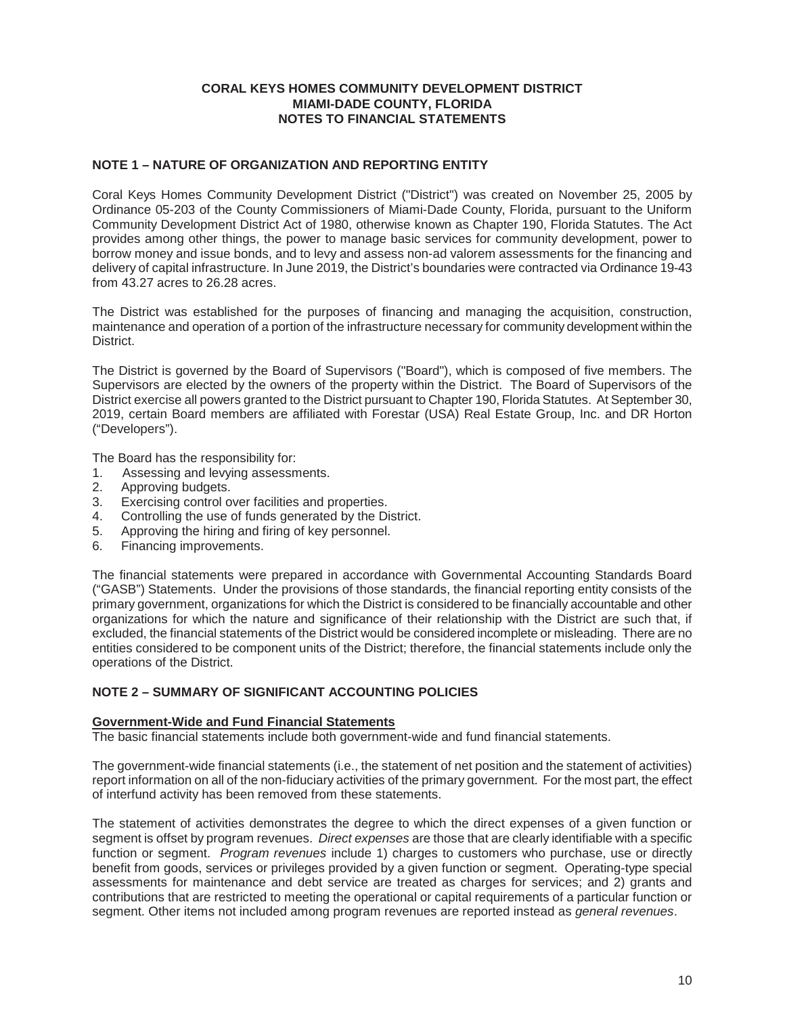# **CORAL KEYS HOMES COMMUNITY DEVELOPMENT DISTRICT MIAMI-DADE COUNTY, FLORIDA NOTES TO FINANCIAL STATEMENTS**

# **NOTE 1 – NATURE OF ORGANIZATION AND REPORTING ENTITY**

Coral Keys Homes Community Development District ("District") was created on November 25, 2005 by Ordinance 05-203 of the County Commissioners of Miami-Dade County, Florida, pursuant to the Uniform Community Development District Act of 1980, otherwise known as Chapter 190, Florida Statutes. The Act provides among other things, the power to manage basic services for community development, power to borrow money and issue bonds, and to levy and assess non-ad valorem assessments for the financing and delivery of capital infrastructure. In June 2019, the District's boundaries were contracted via Ordinance 19-43 from 43.27 acres to 26.28 acres.

The District was established for the purposes of financing and managing the acquisition, construction, maintenance and operation of a portion of the infrastructure necessary for community development within the District.

The District is governed by the Board of Supervisors ("Board"), which is composed of five members. The Supervisors are elected by the owners of the property within the District. The Board of Supervisors of the District exercise all powers granted to the District pursuant to Chapter 190, Florida Statutes. At September 30, 2019, certain Board members are affiliated with Forestar (USA) Real Estate Group, Inc. and DR Horton ("Developers").

The Board has the responsibility for:

- 1. Assessing and levying assessments.
- 2. Approving budgets.
- 3. Exercising control over facilities and properties.
- 4. Controlling the use of funds generated by the District.
- 5. Approving the hiring and firing of key personnel.
- 6. Financing improvements.

The financial statements were prepared in accordance with Governmental Accounting Standards Board ("GASB") Statements. Under the provisions of those standards, the financial reporting entity consists of the primary government, organizations for which the District is considered to be financially accountable and other organizations for which the nature and significance of their relationship with the District are such that, if excluded, the financial statements of the District would be considered incomplete or misleading. There are no entities considered to be component units of the District; therefore, the financial statements include only the operations of the District.

# **NOTE 2 – SUMMARY OF SIGNIFICANT ACCOUNTING POLICIES**

# **Government-Wide and Fund Financial Statements**

The basic financial statements include both government-wide and fund financial statements.

The government-wide financial statements (i.e., the statement of net position and the statement of activities) report information on all of the non-fiduciary activities of the primary government. For the most part, the effect of interfund activity has been removed from these statements.

The statement of activities demonstrates the degree to which the direct expenses of a given function or segment is offset by program revenues. *Direct expenses* are those that are clearly identifiable with a specific function or segment. *Program revenues* include 1) charges to customers who purchase, use or directly benefit from goods, services or privileges provided by a given function or segment. Operating-type special assessments for maintenance and debt service are treated as charges for services; and 2) grants and contributions that are restricted to meeting the operational or capital requirements of a particular function or segment. Other items not included among program revenues are reported instead as *general revenues*.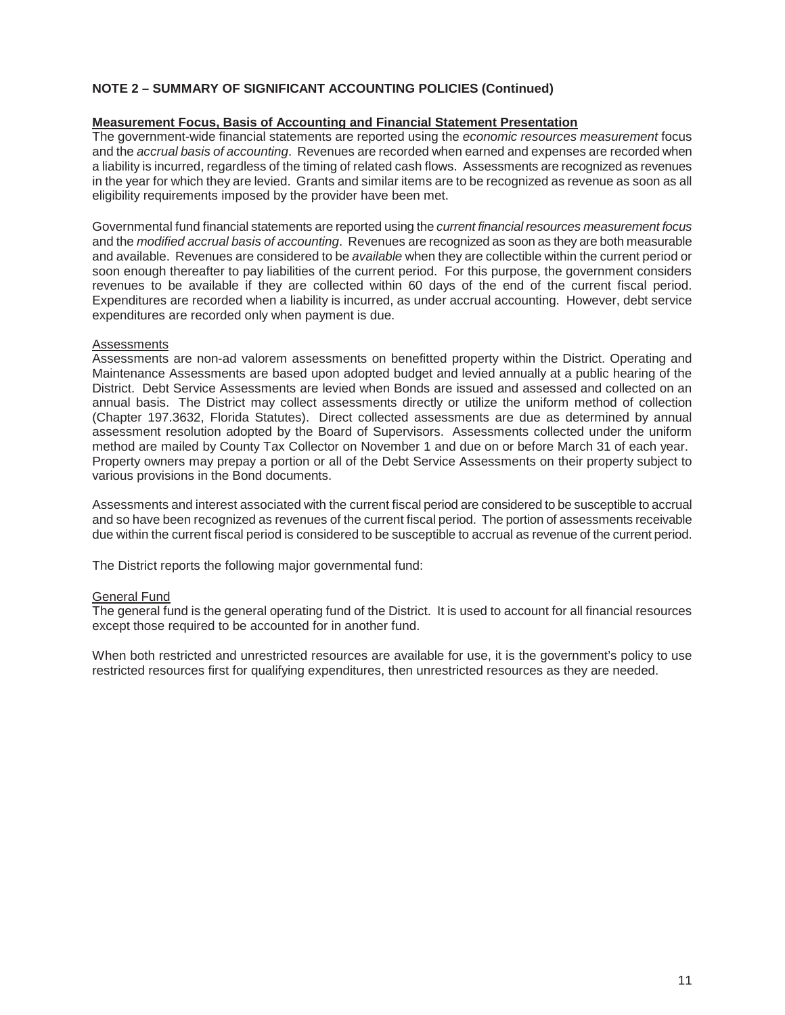# **Measurement Focus, Basis of Accounting and Financial Statement Presentation**

The government-wide financial statements are reported using the *economic resources measurement* focus and the *accrual basis of accounting*. Revenues are recorded when earned and expenses are recorded when a liability is incurred, regardless of the timing of related cash flows. Assessments are recognized as revenues in the year for which they are levied. Grants and similar items are to be recognized as revenue as soon as all eligibility requirements imposed by the provider have been met.

Governmental fund financial statements are reported using the *current financial resources measurement focus* and the *modified accrual basis of accounting*. Revenues are recognized as soon as they are both measurable and available. Revenues are considered to be *available* when they are collectible within the current period or soon enough thereafter to pay liabilities of the current period. For this purpose, the government considers revenues to be available if they are collected within 60 days of the end of the current fiscal period. Expenditures are recorded when a liability is incurred, as under accrual accounting. However, debt service expenditures are recorded only when payment is due.

#### Assessments

Assessments are non-ad valorem assessments on benefitted property within the District. Operating and Maintenance Assessments are based upon adopted budget and levied annually at a public hearing of the District. Debt Service Assessments are levied when Bonds are issued and assessed and collected on an annual basis. The District may collect assessments directly or utilize the uniform method of collection (Chapter 197.3632, Florida Statutes). Direct collected assessments are due as determined by annual assessment resolution adopted by the Board of Supervisors. Assessments collected under the uniform method are mailed by County Tax Collector on November 1 and due on or before March 31 of each year. Property owners may prepay a portion or all of the Debt Service Assessments on their property subject to various provisions in the Bond documents.

Assessments and interest associated with the current fiscal period are considered to be susceptible to accrual and so have been recognized as revenues of the current fiscal period. The portion of assessments receivable due within the current fiscal period is considered to be susceptible to accrual as revenue of the current period.

The District reports the following major governmental fund:

### General Fund

The general fund is the general operating fund of the District. It is used to account for all financial resources except those required to be accounted for in another fund.

When both restricted and unrestricted resources are available for use, it is the government's policy to use restricted resources first for qualifying expenditures, then unrestricted resources as they are needed.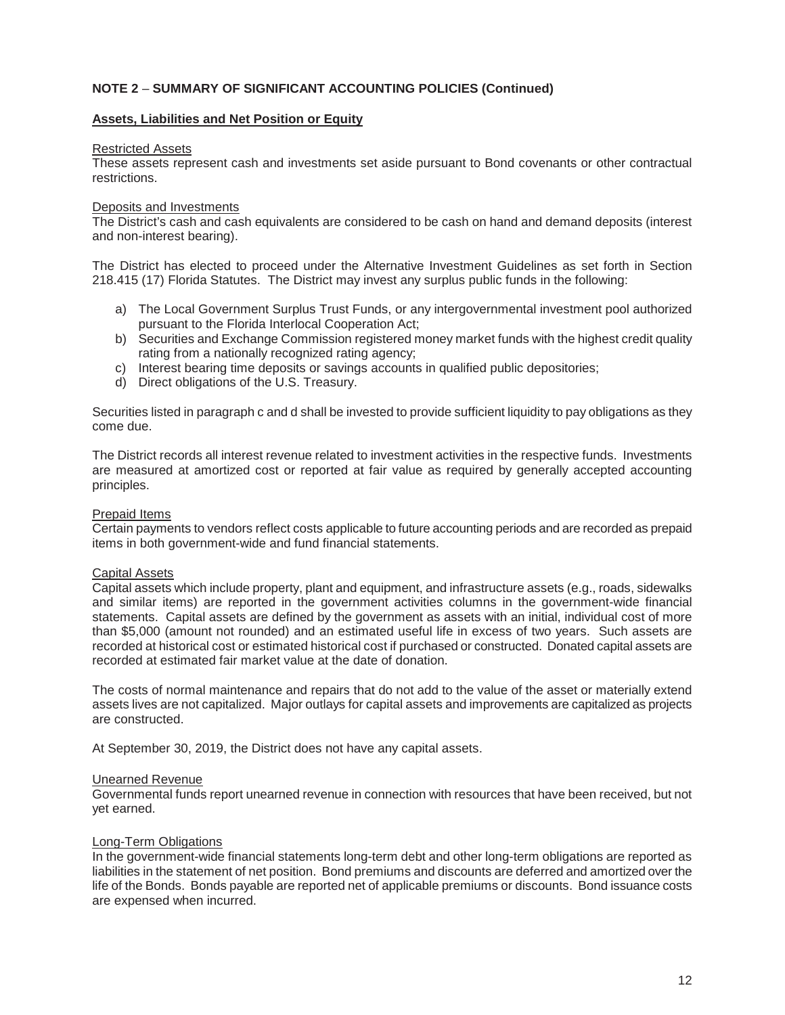# **Assets, Liabilities and Net Position or Equity**

#### Restricted Assets

These assets represent cash and investments set aside pursuant to Bond covenants or other contractual restrictions.

#### Deposits and Investments

The District's cash and cash equivalents are considered to be cash on hand and demand deposits (interest and non-interest bearing).

The District has elected to proceed under the Alternative Investment Guidelines as set forth in Section 218.415 (17) Florida Statutes. The District may invest any surplus public funds in the following:

- a) The Local Government Surplus Trust Funds, or any intergovernmental investment pool authorized pursuant to the Florida Interlocal Cooperation Act;
- b) Securities and Exchange Commission registered money market funds with the highest credit quality rating from a nationally recognized rating agency;
- c) Interest bearing time deposits or savings accounts in qualified public depositories;
- d) Direct obligations of the U.S. Treasury.

Securities listed in paragraph c and d shall be invested to provide sufficient liquidity to pay obligations as they come due.

The District records all interest revenue related to investment activities in the respective funds. Investments are measured at amortized cost or reported at fair value as required by generally accepted accounting principles.

#### Prepaid Items

Certain payments to vendors reflect costs applicable to future accounting periods and are recorded as prepaid items in both government-wide and fund financial statements.

### Capital Assets

Capital assets which include property, plant and equipment, and infrastructure assets (e.g., roads, sidewalks and similar items) are reported in the government activities columns in the government-wide financial statements. Capital assets are defined by the government as assets with an initial, individual cost of more than \$5,000 (amount not rounded) and an estimated useful life in excess of two years. Such assets are recorded at historical cost or estimated historical cost if purchased or constructed. Donated capital assets are recorded at estimated fair market value at the date of donation.

The costs of normal maintenance and repairs that do not add to the value of the asset or materially extend assets lives are not capitalized. Major outlays for capital assets and improvements are capitalized as projects are constructed.

At September 30, 2019, the District does not have any capital assets.

#### Unearned Revenue

Governmental funds report unearned revenue in connection with resources that have been received, but not yet earned.

#### Long-Term Obligations

In the government-wide financial statements long-term debt and other long-term obligations are reported as liabilities in the statement of net position. Bond premiums and discounts are deferred and amortized over the life of the Bonds. Bonds payable are reported net of applicable premiums or discounts. Bond issuance costs are expensed when incurred.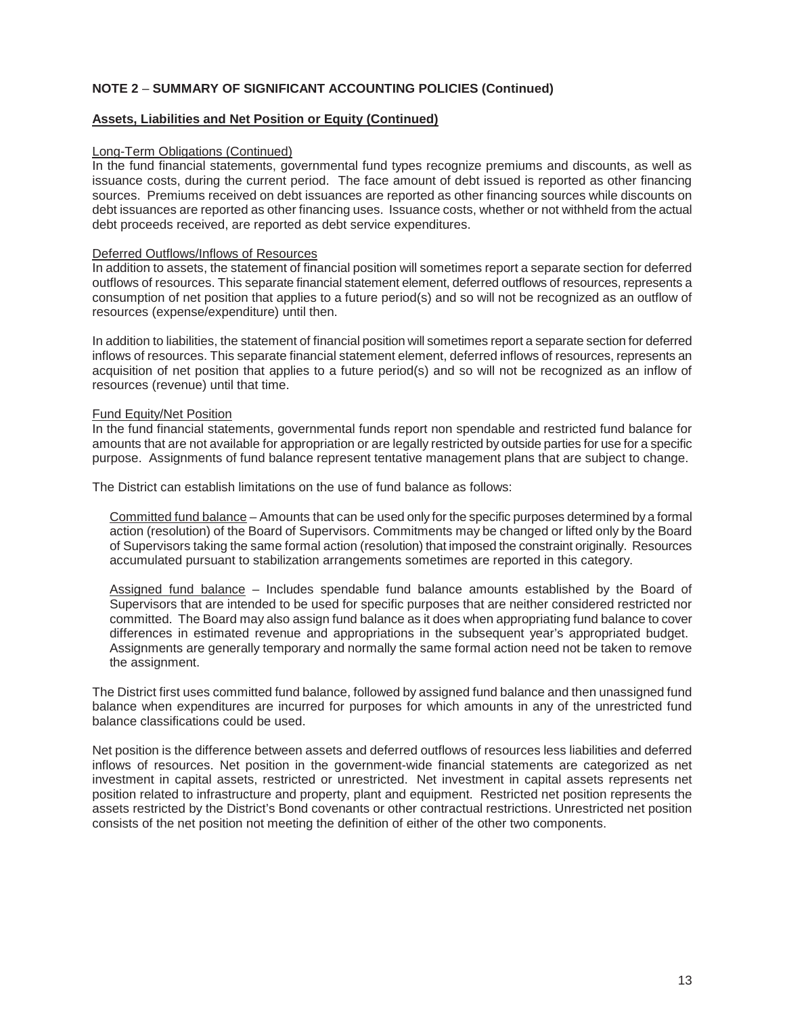# **Assets, Liabilities and Net Position or Equity (Continued)**

#### Long-Term Obligations (Continued)

In the fund financial statements, governmental fund types recognize premiums and discounts, as well as issuance costs, during the current period. The face amount of debt issued is reported as other financing sources. Premiums received on debt issuances are reported as other financing sources while discounts on debt issuances are reported as other financing uses. Issuance costs, whether or not withheld from the actual debt proceeds received, are reported as debt service expenditures.

#### Deferred Outflows/Inflows of Resources

In addition to assets, the statement of financial position will sometimes report a separate section for deferred outflows of resources. This separate financial statement element, deferred outflows of resources, represents a consumption of net position that applies to a future period(s) and so will not be recognized as an outflow of resources (expense/expenditure) until then.

In addition to liabilities, the statement of financial position will sometimes report a separate section for deferred inflows of resources. This separate financial statement element, deferred inflows of resources, represents an acquisition of net position that applies to a future period(s) and so will not be recognized as an inflow of resources (revenue) until that time.

#### Fund Equity/Net Position

In the fund financial statements, governmental funds report non spendable and restricted fund balance for amounts that are not available for appropriation or are legally restricted by outside parties for use for a specific purpose. Assignments of fund balance represent tentative management plans that are subject to change.

The District can establish limitations on the use of fund balance as follows:

Committed fund balance – Amounts that can be used only for the specific purposes determined by a formal action (resolution) of the Board of Supervisors. Commitments may be changed or lifted only by the Board of Supervisors taking the same formal action (resolution) that imposed the constraint originally. Resources accumulated pursuant to stabilization arrangements sometimes are reported in this category.

Assigned fund balance - Includes spendable fund balance amounts established by the Board of Supervisors that are intended to be used for specific purposes that are neither considered restricted nor committed. The Board may also assign fund balance as it does when appropriating fund balance to cover differences in estimated revenue and appropriations in the subsequent year's appropriated budget. Assignments are generally temporary and normally the same formal action need not be taken to remove the assignment.

The District first uses committed fund balance, followed by assigned fund balance and then unassigned fund balance when expenditures are incurred for purposes for which amounts in any of the unrestricted fund balance classifications could be used.

Net position is the difference between assets and deferred outflows of resources less liabilities and deferred inflows of resources. Net position in the government-wide financial statements are categorized as net investment in capital assets, restricted or unrestricted. Net investment in capital assets represents net position related to infrastructure and property, plant and equipment. Restricted net position represents the assets restricted by the District's Bond covenants or other contractual restrictions. Unrestricted net position consists of the net position not meeting the definition of either of the other two components.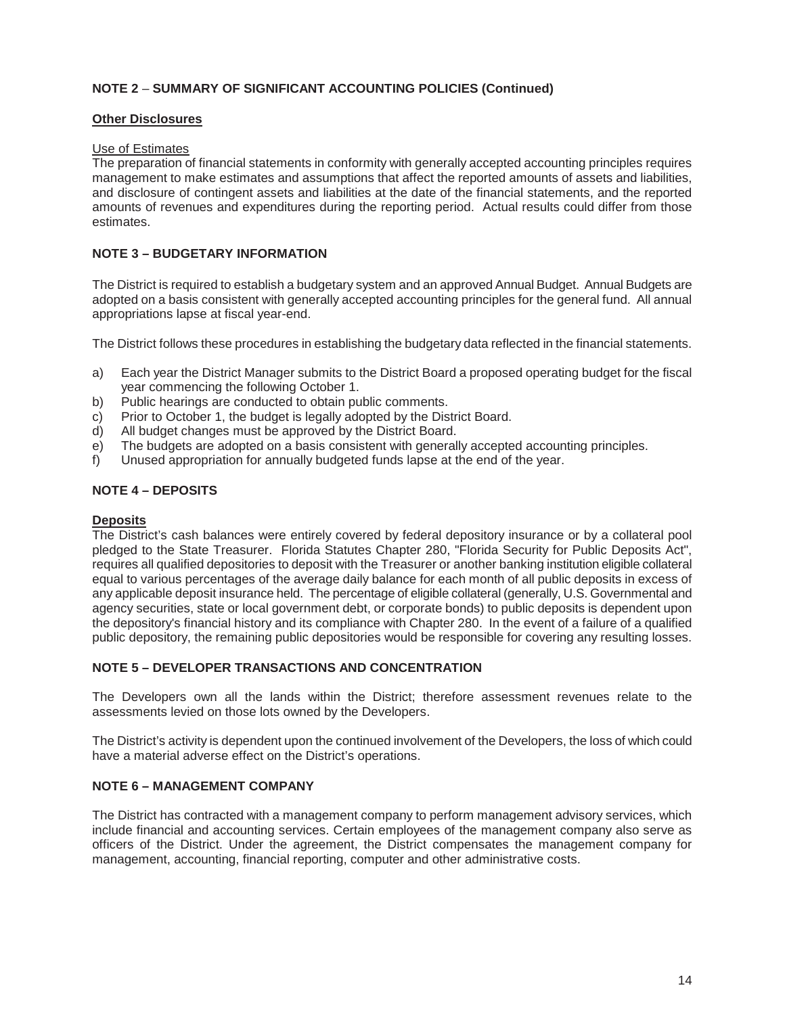# **Other Disclosures**

### Use of Estimates

The preparation of financial statements in conformity with generally accepted accounting principles requires management to make estimates and assumptions that affect the reported amounts of assets and liabilities, and disclosure of contingent assets and liabilities at the date of the financial statements, and the reported amounts of revenues and expenditures during the reporting period. Actual results could differ from those estimates.

# **NOTE 3 – BUDGETARY INFORMATION**

The District is required to establish a budgetary system and an approved Annual Budget. Annual Budgets are adopted on a basis consistent with generally accepted accounting principles for the general fund. All annual appropriations lapse at fiscal year-end.

The District follows these procedures in establishing the budgetary data reflected in the financial statements.

- a) Each year the District Manager submits to the District Board a proposed operating budget for the fiscal year commencing the following October 1.
- b) Public hearings are conducted to obtain public comments.
- c) Prior to October 1, the budget is legally adopted by the District Board.
- d) All budget changes must be approved by the District Board.
- e) The budgets are adopted on a basis consistent with generally accepted accounting principles.
- f) Unused appropriation for annually budgeted funds lapse at the end of the year.

# **NOTE 4 – DEPOSITS**

### **Deposits**

The District's cash balances were entirely covered by federal depository insurance or by a collateral pool pledged to the State Treasurer. Florida Statutes Chapter 280, "Florida Security for Public Deposits Act", requires all qualified depositories to deposit with the Treasurer or another banking institution eligible collateral equal to various percentages of the average daily balance for each month of all public deposits in excess of any applicable deposit insurance held. The percentage of eligible collateral (generally, U.S. Governmental and agency securities, state or local government debt, or corporate bonds) to public deposits is dependent upon the depository's financial history and its compliance with Chapter 280. In the event of a failure of a qualified public depository, the remaining public depositories would be responsible for covering any resulting losses.

# **NOTE 5 – DEVELOPER TRANSACTIONS AND CONCENTRATION**

The Developers own all the lands within the District; therefore assessment revenues relate to the assessments levied on those lots owned by the Developers.

The District's activity is dependent upon the continued involvement of the Developers, the loss of which could have a material adverse effect on the District's operations.

# **NOTE 6 – MANAGEMENT COMPANY**

The District has contracted with a management company to perform management advisory services, which include financial and accounting services. Certain employees of the management company also serve as officers of the District. Under the agreement, the District compensates the management company for management, accounting, financial reporting, computer and other administrative costs.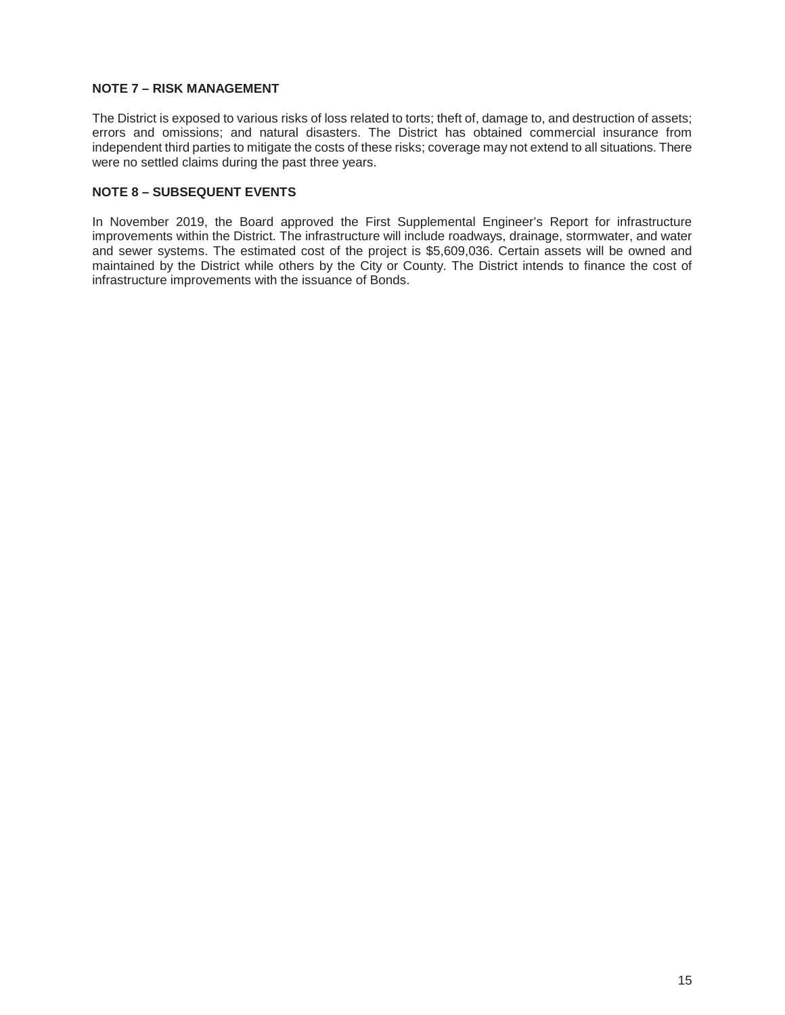# **NOTE 7 – RISK MANAGEMENT**

The District is exposed to various risks of loss related to torts; theft of, damage to, and destruction of assets; errors and omissions; and natural disasters. The District has obtained commercial insurance from independent third parties to mitigate the costs of these risks; coverage may not extend to all situations. There were no settled claims during the past three years.

# **NOTE 8 – SUBSEQUENT EVENTS**

In November 2019, the Board approved the First Supplemental Engineer's Report for infrastructure improvements within the District. The infrastructure will include roadways, drainage, stormwater, and water and sewer systems. The estimated cost of the project is \$5,609,036. Certain assets will be owned and maintained by the District while others by the City or County. The District intends to finance the cost of infrastructure improvements with the issuance of Bonds.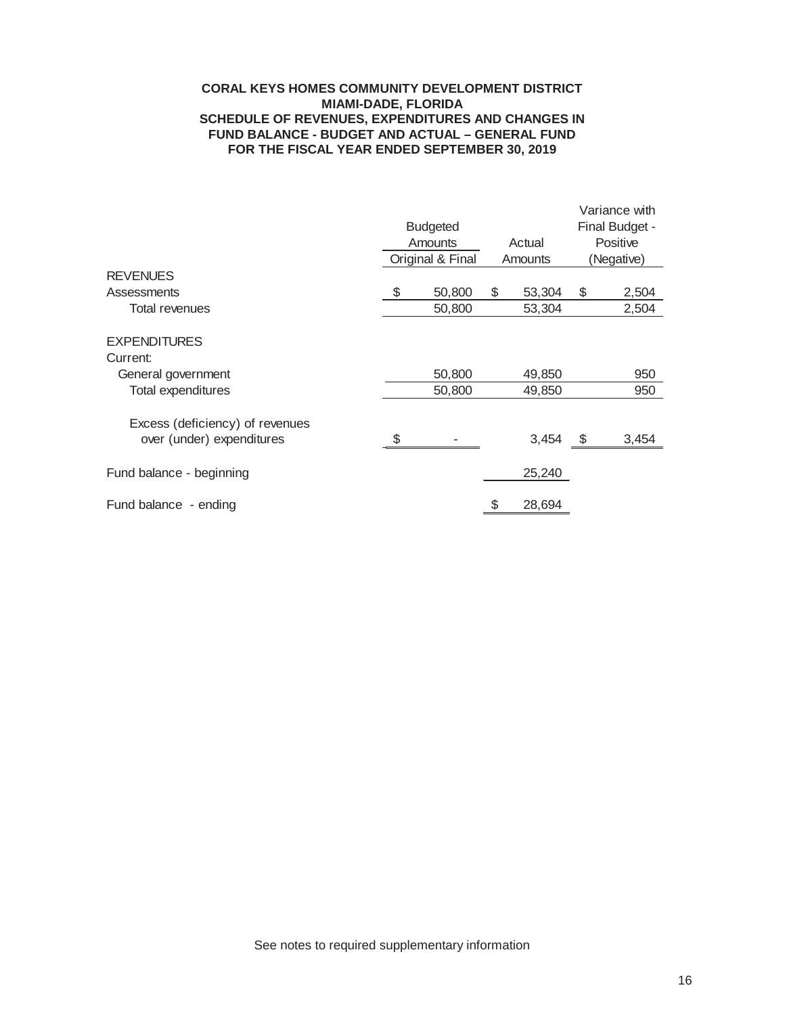# **CORAL KEYS HOMES COMMUNITY DEVELOPMENT DISTRICT MIAMI-DADE, FLORIDA SCHEDULE OF REVENUES, EXPENDITURES AND CHANGES IN FUND BALANCE - BUDGET AND ACTUAL – GENERAL FUND FOR THE FISCAL YEAR ENDED SEPTEMBER 30, 2019**

|                                                              |                 |                  |                |        |          | Variance with |
|--------------------------------------------------------------|-----------------|------------------|----------------|--------|----------|---------------|
|                                                              | <b>Budgeted</b> |                  | Final Budget - |        |          |               |
|                                                              |                 | <b>Amounts</b>   | Actual         |        | Positive |               |
|                                                              |                 | Original & Final | <b>Amounts</b> |        |          | (Negative)    |
| <b>REVENUES</b>                                              |                 |                  |                |        |          |               |
| Assessments                                                  | \$              | 50,800           | \$             | 53,304 | \$       | 2,504         |
| <b>Total revenues</b>                                        |                 | 50,800           |                | 53,304 |          | 2,504         |
| <b>EXPENDITURES</b><br>Current:                              |                 |                  |                |        |          |               |
| General government                                           |                 | 50,800           |                | 49,850 |          | 950           |
| Total expenditures                                           |                 | 50,800           |                | 49,850 |          | 950           |
| Excess (deficiency) of revenues<br>over (under) expenditures |                 |                  |                | 3,454  | \$       | 3,454         |
| Fund balance - beginning                                     |                 |                  |                | 25,240 |          |               |
| Fund balance - ending                                        |                 |                  | \$             | 28,694 |          |               |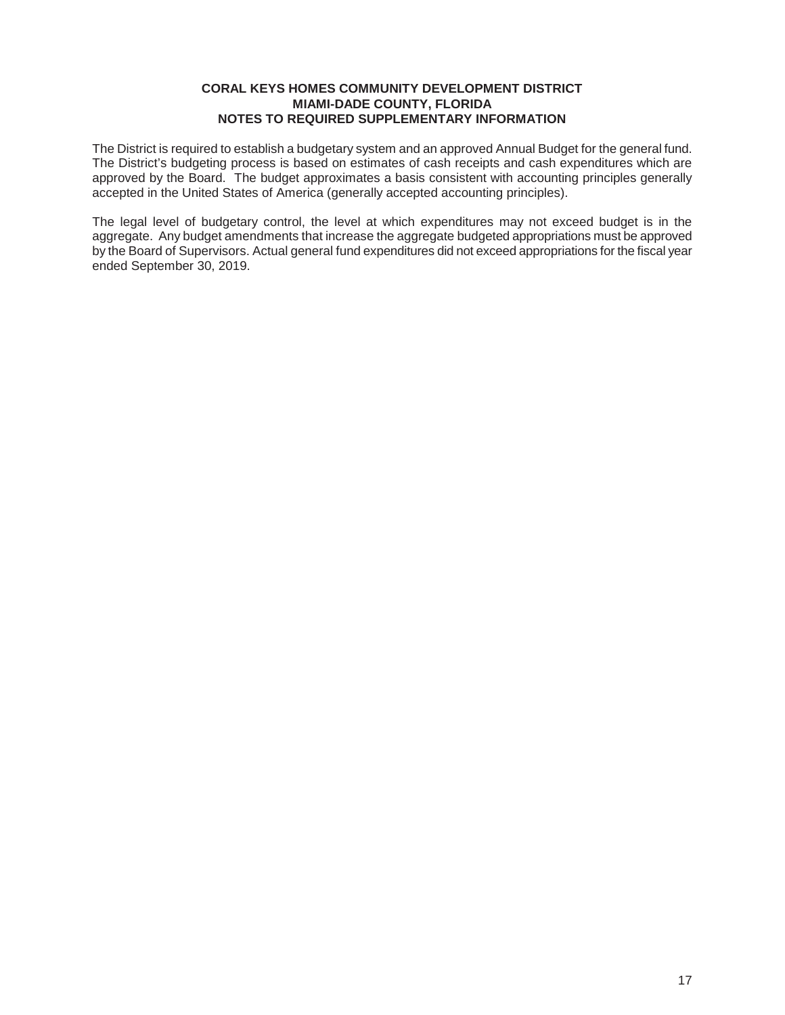# **CORAL KEYS HOMES COMMUNITY DEVELOPMENT DISTRICT MIAMI-DADE COUNTY, FLORIDA NOTES TO REQUIRED SUPPLEMENTARY INFORMATION**

The District is required to establish a budgetary system and an approved Annual Budget for the general fund. The District's budgeting process is based on estimates of cash receipts and cash expenditures which are approved by the Board. The budget approximates a basis consistent with accounting principles generally accepted in the United States of America (generally accepted accounting principles).

The legal level of budgetary control, the level at which expenditures may not exceed budget is in the aggregate. Any budget amendments that increase the aggregate budgeted appropriations must be approved by the Board of Supervisors. Actual general fund expenditures did not exceed appropriations for the fiscal year ended September 30, 2019.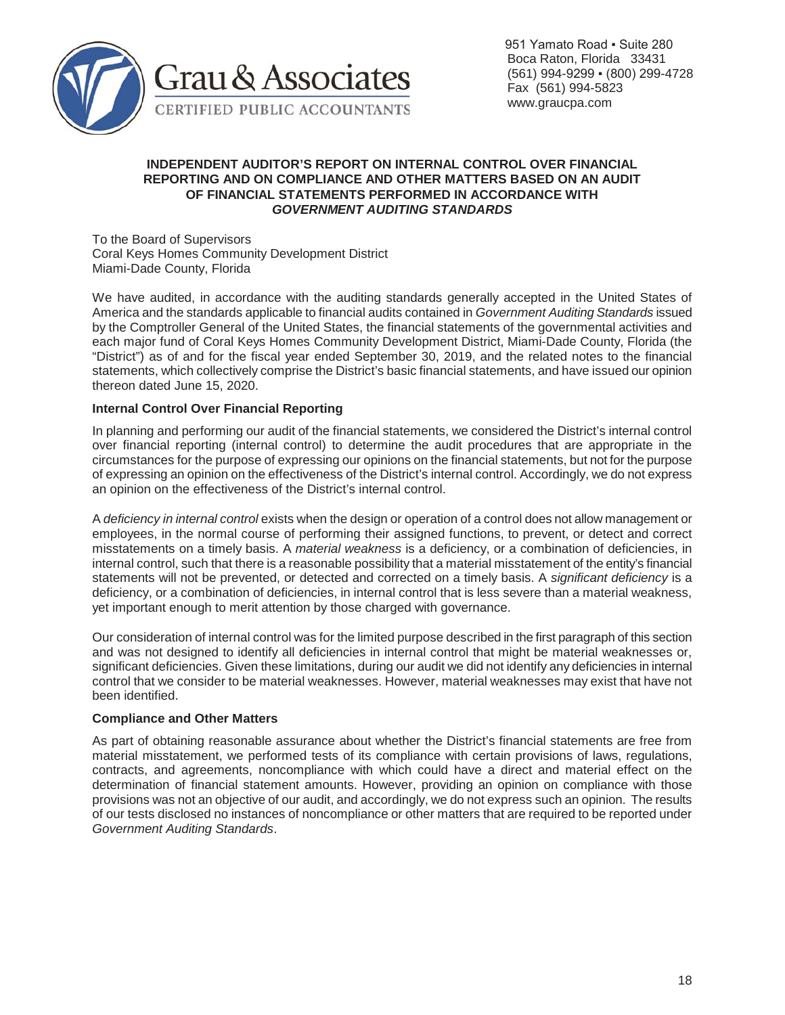

### **INDEPENDENT AUDITOR'S REPORT ON INTERNAL CONTROL OVER FINANCIAL REPORTING AND ON COMPLIANCE AND OTHER MATTERS BASED ON AN AUDIT OF FINANCIAL STATEMENTS PERFORMED IN ACCORDANCE WITH**  *GOVERNMENT AUDITING STANDARDS*

To the Board of Supervisors Coral Keys Homes Community Development District Miami-Dade County, Florida

We have audited, in accordance with the auditing standards generally accepted in the United States of America and the standards applicable to financial audits contained in *Government Auditing Standards* issued by the Comptroller General of the United States, the financial statements of the governmental activities and each major fund of Coral Keys Homes Community Development District, Miami-Dade County, Florida (the "District") as of and for the fiscal year ended September 30, 2019, and the related notes to the financial statements, which collectively comprise the District's basic financial statements, and have issued our opinion thereon dated June 15, 2020.

# **Internal Control Over Financial Reporting**

In planning and performing our audit of the financial statements, we considered the District's internal control over financial reporting (internal control) to determine the audit procedures that are appropriate in the circumstances for the purpose of expressing our opinions on the financial statements, but not for the purpose of expressing an opinion on the effectiveness of the District's internal control. Accordingly, we do not express an opinion on the effectiveness of the District's internal control.

A *deficiency in internal control* exists when the design or operation of a control does not allow management or employees, in the normal course of performing their assigned functions, to prevent, or detect and correct misstatements on a timely basis. A *material weakness* is a deficiency, or a combination of deficiencies, in internal control, such that there is a reasonable possibility that a material misstatement of the entity's financial statements will not be prevented, or detected and corrected on a timely basis. A *significant deficiency* is a deficiency, or a combination of deficiencies, in internal control that is less severe than a material weakness, yet important enough to merit attention by those charged with governance.

Our consideration of internal control was for the limited purpose described in the first paragraph of this section and was not designed to identify all deficiencies in internal control that might be material weaknesses or, significant deficiencies. Given these limitations, during our audit we did not identify any deficiencies in internal control that we consider to be material weaknesses. However, material weaknesses may exist that have not been identified.

# **Compliance and Other Matters**

As part of obtaining reasonable assurance about whether the District's financial statements are free from material misstatement, we performed tests of its compliance with certain provisions of laws, regulations, contracts, and agreements, noncompliance with which could have a direct and material effect on the determination of financial statement amounts. However, providing an opinion on compliance with those provisions was not an objective of our audit, and accordingly, we do not express such an opinion. The results of our tests disclosed no instances of noncompliance or other matters that are required to be reported under *Government Auditing Standards*.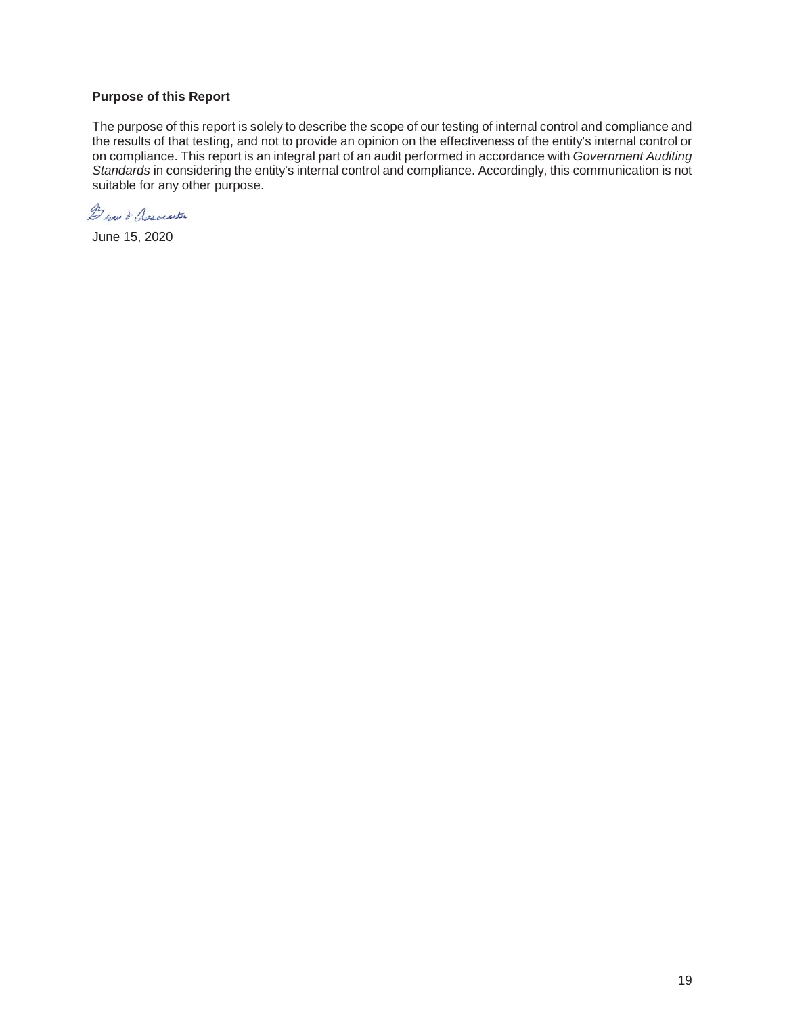# **Purpose of this Report**

The purpose of this report is solely to describe the scope of our testing of internal control and compliance and the results of that testing, and not to provide an opinion on the effectiveness of the entity's internal control or on compliance. This report is an integral part of an audit performed in accordance with *Government Auditing Standards* in considering the entity's internal control and compliance. Accordingly, this communication is not suitable for any other purpose.

Dear & Association

June 15, 2020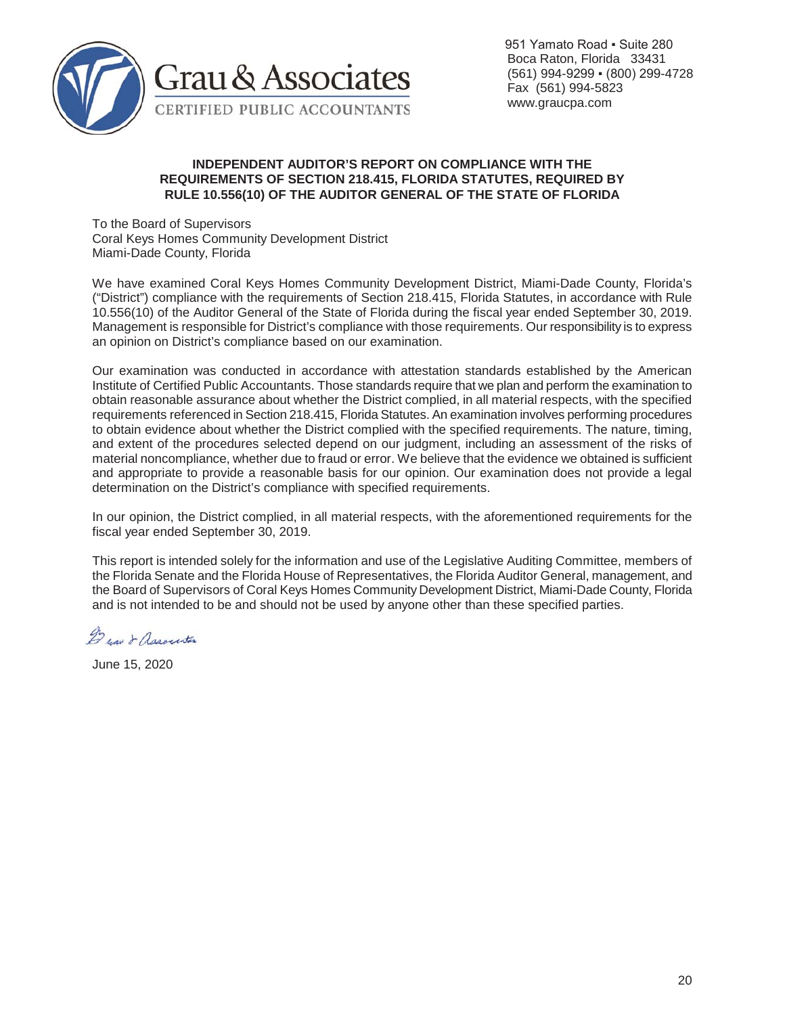

951 Yamato Road . Suite 280 Boca Raton, Florida 33431 (561) 994-9299 - (800) 299-4728 Fax (561) 994-5823 www.graucpa.com

### **INDEPENDENT AUDITOR'S REPORT ON COMPLIANCE WITH THE REQUIREMENTS OF SECTION 218.415, FLORIDA STATUTES, REQUIRED BY RULE 10.556(10) OF THE AUDITOR GENERAL OF THE STATE OF FLORIDA**

To the Board of Supervisors Coral Keys Homes Community Development District Miami-Dade County, Florida

We have examined Coral Keys Homes Community Development District, Miami-Dade County, Florida's ("District") compliance with the requirements of Section 218.415, Florida Statutes, in accordance with Rule 10.556(10) of the Auditor General of the State of Florida during the fiscal year ended September 30, 2019. Management is responsible for District's compliance with those requirements. Our responsibility is to express an opinion on District's compliance based on our examination.

Our examination was conducted in accordance with attestation standards established by the American Institute of Certified Public Accountants. Those standards require that we plan and perform the examination to obtain reasonable assurance about whether the District complied, in all material respects, with the specified requirements referenced in Section 218.415, Florida Statutes. An examination involves performing procedures to obtain evidence about whether the District complied with the specified requirements. The nature, timing, and extent of the procedures selected depend on our judgment, including an assessment of the risks of material noncompliance, whether due to fraud or error. We believe that the evidence we obtained is sufficient and appropriate to provide a reasonable basis for our opinion. Our examination does not provide a legal determination on the District's compliance with specified requirements.

In our opinion, the District complied, in all material respects, with the aforementioned requirements for the fiscal year ended September 30, 2019.

This report is intended solely for the information and use of the Legislative Auditing Committee, members of the Florida Senate and the Florida House of Representatives, the Florida Auditor General, management, and the Board of Supervisors of Coral Keys Homes Community Development District, Miami-Dade County, Florida and is not intended to be and should not be used by anyone other than these specified parties.

Dear & Association

June 15, 2020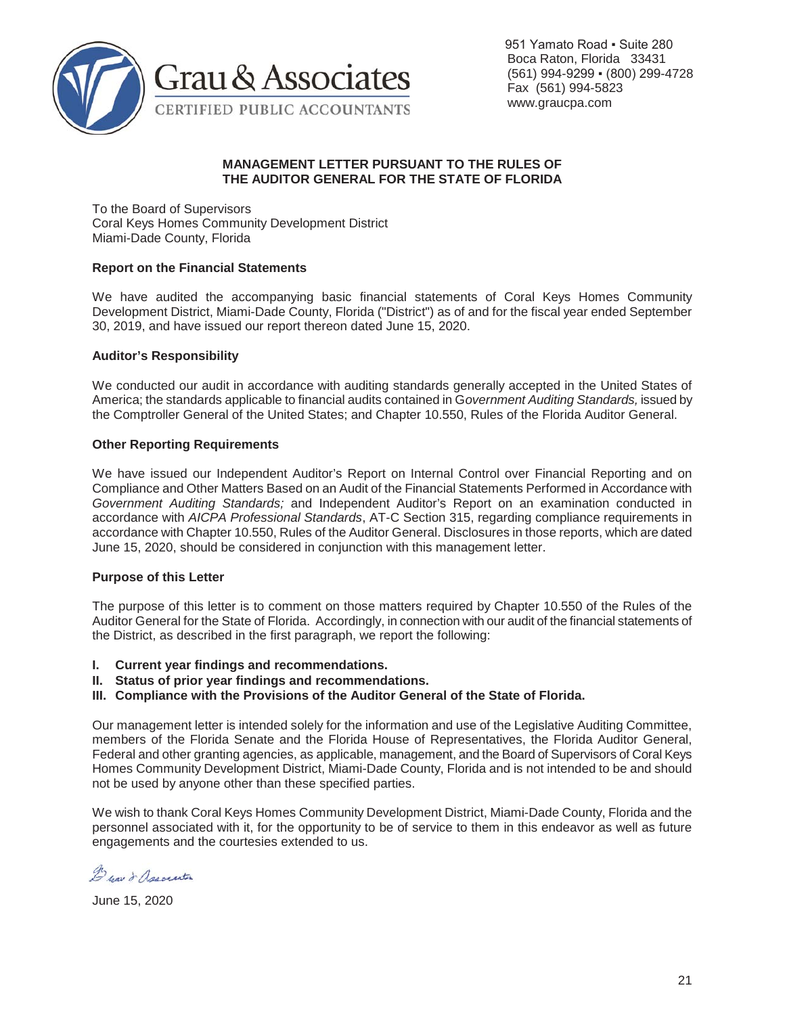

951 Yamato Road . Suite 280 Boca Raton, Florida 33431 (561) 994-9299 - (800) 299-4728 Fax (561) 994-5823 www.graucpa.com

# **MANAGEMENT LETTER PURSUANT TO THE RULES OF THE AUDITOR GENERAL FOR THE STATE OF FLORIDA**

To the Board of Supervisors Coral Keys Homes Community Development District Miami-Dade County, Florida

# **Report on the Financial Statements**

We have audited the accompanying basic financial statements of Coral Keys Homes Community Development District, Miami-Dade County, Florida ("District") as of and for the fiscal year ended September 30, 2019, and have issued our report thereon dated June 15, 2020.

# **Auditor's Responsibility**

We conducted our audit in accordance with auditing standards generally accepted in the United States of America; the standards applicable to financial audits contained in G*overnment Auditing Standards,* issued by the Comptroller General of the United States; and Chapter 10.550, Rules of the Florida Auditor General.

# **Other Reporting Requirements**

We have issued our Independent Auditor's Report on Internal Control over Financial Reporting and on Compliance and Other Matters Based on an Audit of the Financial Statements Performed in Accordance with *Government Auditing Standards;* and Independent Auditor's Report on an examination conducted in accordance with *AICPA Professional Standards*, AT-C Section 315, regarding compliance requirements in accordance with Chapter 10.550, Rules of the Auditor General. Disclosures in those reports, which are dated June 15, 2020, should be considered in conjunction with this management letter.

### **Purpose of this Letter**

The purpose of this letter is to comment on those matters required by Chapter 10.550 of the Rules of the Auditor General for the State of Florida. Accordingly, in connection with our audit of the financial statements of the District, as described in the first paragraph, we report the following:

- **I. Current year findings and recommendations.**
- **II. Status of prior year findings and recommendations.**
- **III. Compliance with the Provisions of the Auditor General of the State of Florida.**

Our management letter is intended solely for the information and use of the Legislative Auditing Committee, members of the Florida Senate and the Florida House of Representatives, the Florida Auditor General, Federal and other granting agencies, as applicable, management, and the Board of Supervisors of Coral Keys Homes Community Development District, Miami-Dade County, Florida and is not intended to be and should not be used by anyone other than these specified parties.

We wish to thank Coral Keys Homes Community Development District, Miami-Dade County, Florida and the personnel associated with it, for the opportunity to be of service to them in this endeavor as well as future engagements and the courtesies extended to us.

Dear & Association

June 15, 2020